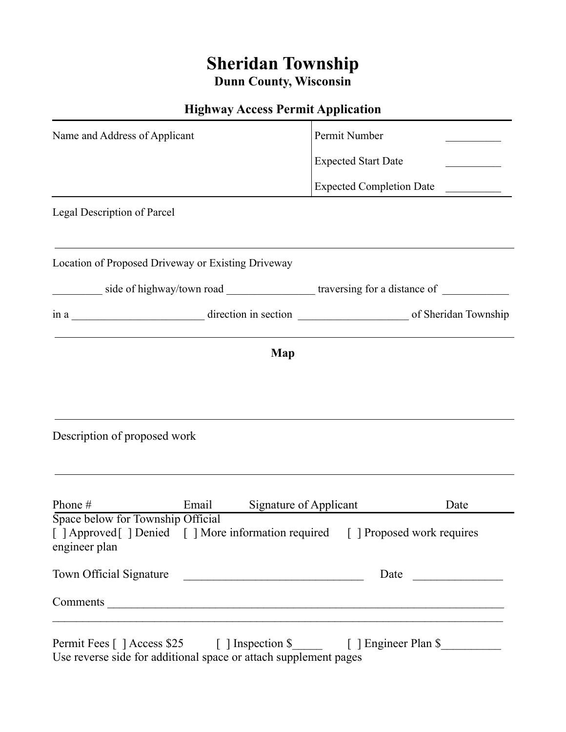## **Sheridan Township Dunn County, Wisconsin**

## **Highway Access Permit Application**

| Name and Address of Applicant                                                                                        |                                                                                                                                                                       | Permit Number                   |      |  |
|----------------------------------------------------------------------------------------------------------------------|-----------------------------------------------------------------------------------------------------------------------------------------------------------------------|---------------------------------|------|--|
|                                                                                                                      |                                                                                                                                                                       | <b>Expected Start Date</b>      |      |  |
| <u> 1989 - Johann Stein, marwolaethau a bhann an t-Amhair an t-Amhair an t-Amhair an t-Amhair an t-Amhair an t-A</u> |                                                                                                                                                                       | <b>Expected Completion Date</b> |      |  |
| Legal Description of Parcel                                                                                          |                                                                                                                                                                       |                                 |      |  |
| Location of Proposed Driveway or Existing Driveway                                                                   |                                                                                                                                                                       |                                 |      |  |
| side of highway/town road _______________________traversing for a distance of ________________________________       |                                                                                                                                                                       |                                 |      |  |
|                                                                                                                      |                                                                                                                                                                       |                                 |      |  |
|                                                                                                                      | Map                                                                                                                                                                   |                                 |      |  |
|                                                                                                                      |                                                                                                                                                                       |                                 |      |  |
|                                                                                                                      |                                                                                                                                                                       |                                 |      |  |
|                                                                                                                      |                                                                                                                                                                       |                                 |      |  |
| Description of proposed work                                                                                         |                                                                                                                                                                       |                                 |      |  |
|                                                                                                                      |                                                                                                                                                                       |                                 |      |  |
|                                                                                                                      |                                                                                                                                                                       |                                 |      |  |
| Phone #<br>Space below for Township Official                                                                         | Email                                                                                                                                                                 | Signature of Applicant          | Date |  |
| engineer plan                                                                                                        | [ ] Approved [ ] Denied [ ] More information required [ ] Proposed work requires                                                                                      |                                 |      |  |
|                                                                                                                      | Town Official Signature                                                                                                                                               |                                 |      |  |
|                                                                                                                      |                                                                                                                                                                       |                                 |      |  |
|                                                                                                                      | <u> 1989 - Jan James James James James James James James James James James James James James James James James J</u><br>Permit Fees [ ] Access \$25 [ ] Inspection \$ | [ ] Engineer Plan \$            |      |  |

Use reverse side for additional space or attach supplement pages